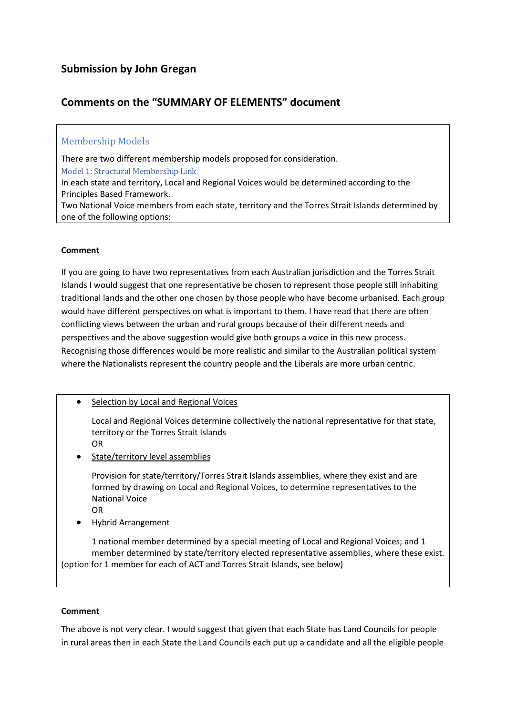## **Comments on the "SUMMARY OF ELEMENTS" document**

## Membership Models

There are two different membership models proposed for consideration. Model 1: Structural Membership Link

In each state and territory, Local and Regional Voices would be determined according to the Principles Based Framework.

Two National Voice members from each state, territory and the Torres Strait Islands determined by one of the following options:

#### **Comment**

If you are going to have two representatives from each Australian jurisdiction and the Torres Strait Islands I would suggest that one representative be chosen to represent those people still inhabiting traditional lands and the other one chosen by those people who have become urbanised. Each group would have different perspectives on what is important to them. I have read that there are often conflicting views between the urban and rural groups because of their different needs and perspectives and the above suggestion would give both groups a voice in this new process. Recognising those differences would be more realistic and similar to the Australian political system where the Nationalists represent the country people and the Liberals are more urban centric.

• Selection by Local and Regional Voices

Local and Regional Voices determine collectively the national representative for that state, territory or the Torres Strait Islands OR

• State/territory level assemblies

Provision for state/territory/Torres Strait Islands assemblies, where they exist and are formed by drawing on Local and Regional Voices, to determine representatives to the National Voice

- OR
- Hybrid Arrangement

1 national member determined by a special meeting of Local and Regional Voices; and 1 member determined by state/territory elected representative assemblies, where these exist. (option for 1 member for each of ACT and Torres Strait Islands, see below)

#### **Comment**

The above is not very clear. I would suggest that given that each State has Land Councils for people in rural areas then in each State the Land Councils each put up a candidate and all the eligible people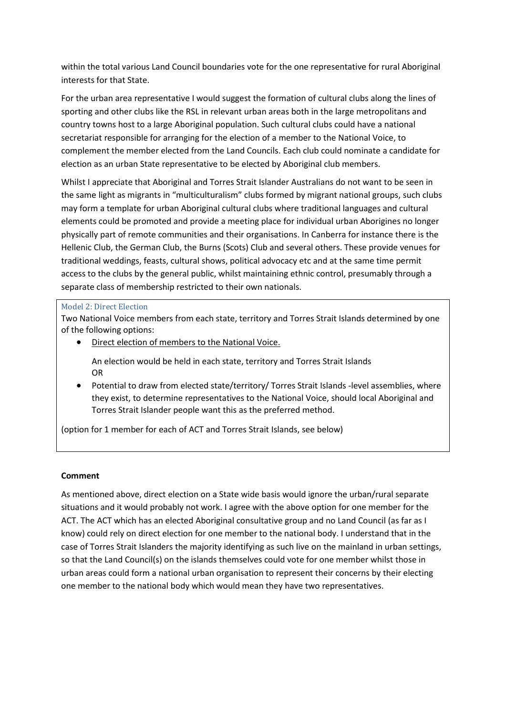within the total various Land Council boundaries vote for the one representative for rural Aboriginal interests for that State.

For the urban area representative I would suggest the formation of cultural clubs along the lines of sporting and other clubs like the RSL in relevant urban areas both in the large metropolitans and country towns host to a large Aboriginal population. Such cultural clubs could have a national secretariat responsible for arranging for the election of a member to the National Voice, to complement the member elected from the Land Councils. Each club could nominate a candidate for election as an urban State representative to be elected by Aboriginal club members.

Whilst I appreciate that Aboriginal and Torres Strait Islander Australians do not want to be seen in the same light as migrants in "multiculturalism" clubs formed by migrant national groups, such clubs may form a template for urban Aboriginal cultural clubs where traditional languages and cultural elements could be promoted and provide a meeting place for individual urban Aborigines no longer physically part of remote communities and their organisations. In Canberra for instance there is the Hellenic Club, the German Club, the Burns (Scots) Club and several others. These provide venues for traditional weddings, feasts, cultural shows, political advocacy etc and at the same time permit access to the clubs by the general public, whilst maintaining ethnic control, presumably through a separate class of membership restricted to their own nationals.

#### Model 2: Direct Election

Two National Voice members from each state, territory and Torres Strait Islands determined by one of the following options:

• Direct election of members to the National Voice.

An election would be held in each state, territory and Torres Strait Islands OR

• Potential to draw from elected state/territory/ Torres Strait Islands -level assemblies, where they exist, to determine representatives to the National Voice, should local Aboriginal and Torres Strait Islander people want this as the preferred method.

(option for 1 member for each of ACT and Torres Strait Islands, see below)

#### **Comment**

As mentioned above, direct election on a State wide basis would ignore the urban/rural separate situations and it would probably not work. I agree with the above option for one member for the ACT. The ACT which has an elected Aboriginal consultative group and no Land Council (as far as I know) could rely on direct election for one member to the national body. I understand that in the case of Torres Strait Islanders the majority identifying as such live on the mainland in urban settings, so that the Land Council(s) on the islands themselves could vote for one member whilst those in urban areas could form a national urban organisation to represent their concerns by their electing one member to the national body which would mean they have two representatives.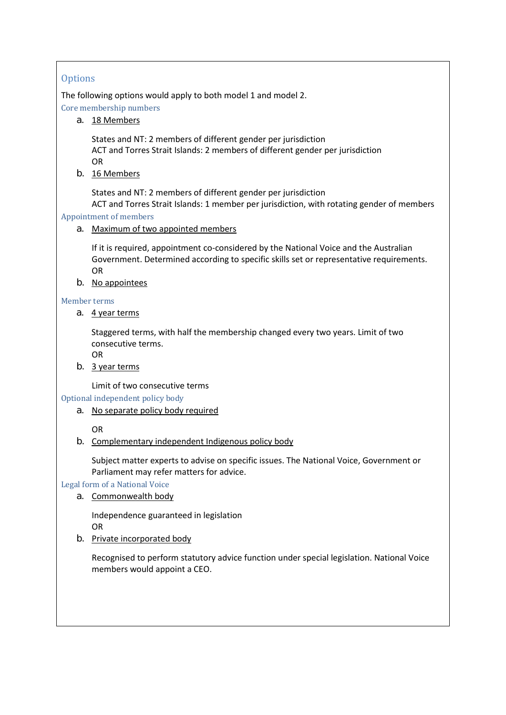## **Options**

The following options would apply to both model 1 and model 2.

Core membership numbers

a. 18 Members

States and NT: 2 members of different gender per jurisdiction ACT and Torres Strait Islands: 2 members of different gender per jurisdiction OR

b. 16 Members

States and NT: 2 members of different gender per jurisdiction ACT and Torres Strait Islands: 1 member per jurisdiction, with rotating gender of members

## Appointment of members

a. Maximum of two appointed members

If it is required, appointment co-considered by the National Voice and the Australian Government. Determined according to specific skills set or representative requirements. OR

b. No appointees

#### Member terms

a. 4 year terms

Staggered terms, with half the membership changed every two years. Limit of two consecutive terms.

OR

b. 3 year terms

Limit of two consecutive terms

Optional independent policy body

a. No separate policy body required

OR

b. Complementary independent Indigenous policy body

Subject matter experts to advise on specific issues. The National Voice, Government or Parliament may refer matters for advice.

Legal form of a National Voice

a. Commonwealth body

Independence guaranteed in legislation OR

b. Private incorporated body

Recognised to perform statutory advice function under special legislation. National Voice members would appoint a CEO.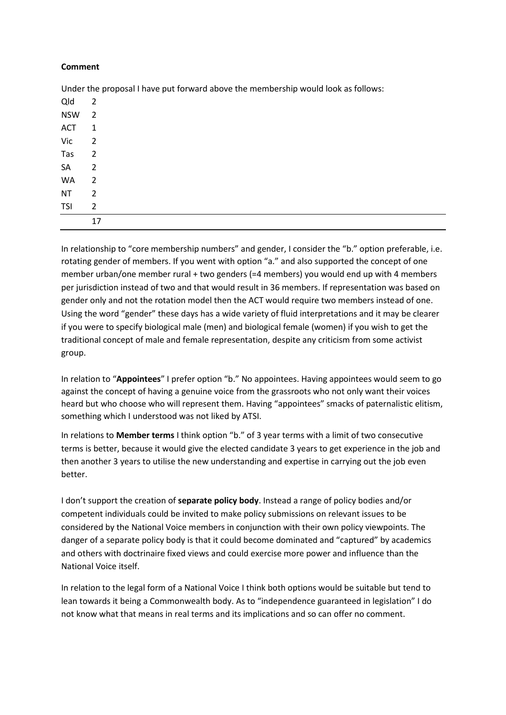#### **Comment**

Qld 2 NSW 2 ACT<sub>1</sub> Vic 2 Tas 2 SA<sub>2</sub> WA<sub>2</sub>  $NT$  2 TSI 2 17

Under the proposal I have put forward above the membership would look as follows:

In relationship to "core membership numbers" and gender, I consider the "b." option preferable, i.e. rotating gender of members. If you went with option "a." and also supported the concept of one member urban/one member rural + two genders (=4 members) you would end up with 4 members per jurisdiction instead of two and that would result in 36 members. If representation was based on gender only and not the rotation model then the ACT would require two members instead of one. Using the word "gender" these days has a wide variety of fluid interpretations and it may be clearer if you were to specify biological male (men) and biological female (women) if you wish to get the traditional concept of male and female representation, despite any criticism from some activist group.

In relation to "**Appointees**" I prefer option "b." No appointees. Having appointees would seem to go against the concept of having a genuine voice from the grassroots who not only want their voices heard but who choose who will represent them. Having "appointees" smacks of paternalistic elitism, something which I understood was not liked by ATSI.

In relations to **Member terms** I think option "b." of 3 year terms with a limit of two consecutive terms is better, because it would give the elected candidate 3 years to get experience in the job and then another 3 years to utilise the new understanding and expertise in carrying out the job even better.

I don't support the creation of **separate policy body**. Instead a range of policy bodies and/or competent individuals could be invited to make policy submissions on relevant issues to be considered by the National Voice members in conjunction with their own policy viewpoints. The danger of a separate policy body is that it could become dominated and "captured" by academics and others with doctrinaire fixed views and could exercise more power and influence than the National Voice itself.

In relation to the legal form of a National Voice I think both options would be suitable but tend to lean towards it being a Commonwealth body. As to "independence guaranteed in legislation" I do not know what that means in real terms and its implications and so can offer no comment.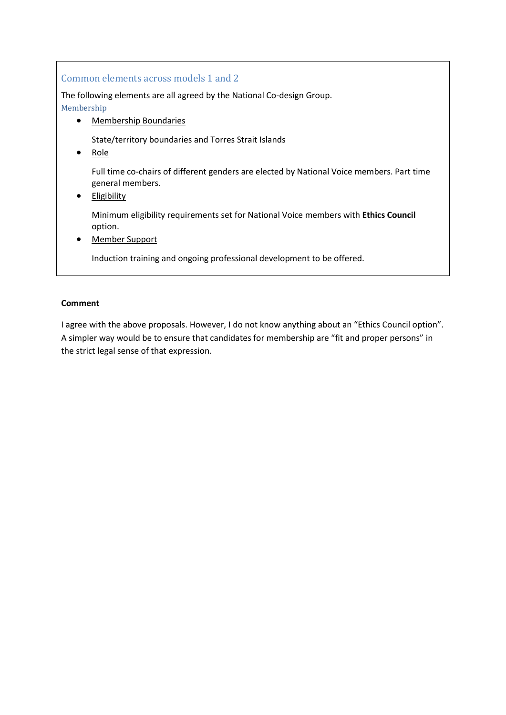## Common elements across models 1 and 2

The following elements are all agreed by the National Co-design Group. Membership

• Membership Boundaries

State/territory boundaries and Torres Strait Islands

• Role

Full time co-chairs of different genders are elected by National Voice members. Part time general members.

• Eligibility

Minimum eligibility requirements set for National Voice members with **Ethics Council** option.

• Member Support

Induction training and ongoing professional development to be offered.

## **Comment**

I agree with the above proposals. However, I do not know anything about an "Ethics Council option". A simpler way would be to ensure that candidates for membership are "fit and proper persons" in the strict legal sense of that expression.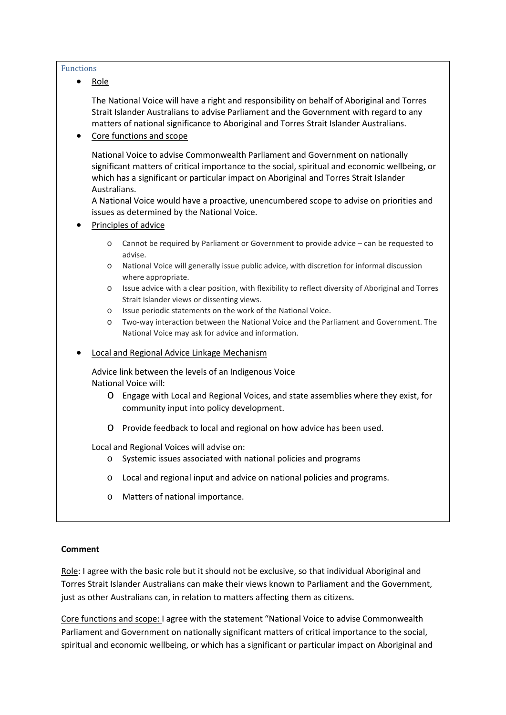#### Functions

• Role

The National Voice will have a right and responsibility on behalf of Aboriginal and Torres Strait Islander Australians to advise Parliament and the Government with regard to any matters of national significance to Aboriginal and Torres Strait Islander Australians.

• Core functions and scope

National Voice to advise Commonwealth Parliament and Government on nationally significant matters of critical importance to the social, spiritual and economic wellbeing, or which has a significant or particular impact on Aboriginal and Torres Strait Islander Australians.

A National Voice would have a proactive, unencumbered scope to advise on priorities and issues as determined by the National Voice.

- Principles of advice
	- o Cannot be required by Parliament or Government to provide advice can be requested to advise.
	- o National Voice will generally issue public advice, with discretion for informal discussion where appropriate.
	- o Issue advice with a clear position, with flexibility to reflect diversity of Aboriginal and Torres Strait Islander views or dissenting views.
	- o Issue periodic statements on the work of the National Voice.
	- o Two-way interaction between the National Voice and the Parliament and Government. The National Voice may ask for advice and information.
- Local and Regional Advice Linkage Mechanism

Advice link between the levels of an Indigenous Voice National Voice will:

- o Engage with Local and Regional Voices, and state assemblies where they exist, for community input into policy development.
- o Provide feedback to local and regional on how advice has been used.

Local and Regional Voices will advise on:

- o Systemic issues associated with national policies and programs
- o Local and regional input and advice on national policies and programs.
- o Matters of national importance.

#### **Comment**

Role: I agree with the basic role but it should not be exclusive, so that individual Aboriginal and Torres Strait Islander Australians can make their views known to Parliament and the Government, just as other Australians can, in relation to matters affecting them as citizens.

Core functions and scope: I agree with the statement "National Voice to advise Commonwealth Parliament and Government on nationally significant matters of critical importance to the social, spiritual and economic wellbeing, or which has a significant or particular impact on Aboriginal and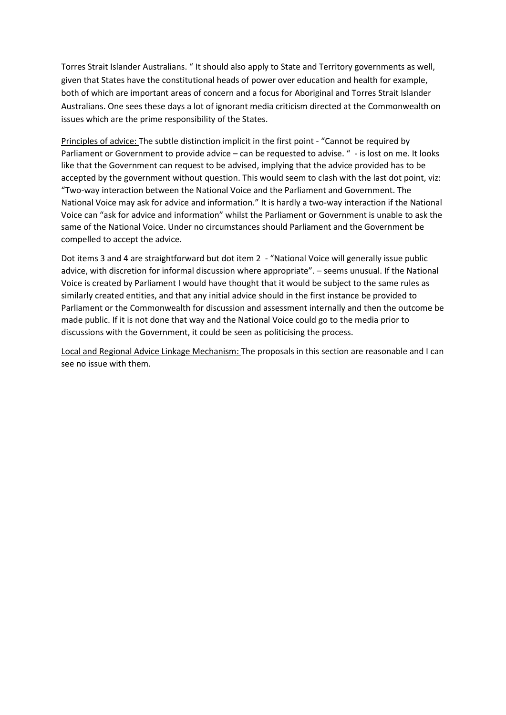Torres Strait Islander Australians. " It should also apply to State and Territory governments as well, given that States have the constitutional heads of power over education and health for example, both of which are important areas of concern and a focus for Aboriginal and Torres Strait Islander Australians. One sees these days a lot of ignorant media criticism directed at the Commonwealth on issues which are the prime responsibility of the States.

Principles of advice: The subtle distinction implicit in the first point - "Cannot be required by Parliament or Government to provide advice – can be requested to advise. " - is lost on me. It looks like that the Government can request to be advised, implying that the advice provided has to be accepted by the government without question. This would seem to clash with the last dot point, viz: "Two-way interaction between the National Voice and the Parliament and Government. The National Voice may ask for advice and information." It is hardly a two-way interaction if the National Voice can "ask for advice and information" whilst the Parliament or Government is unable to ask the same of the National Voice. Under no circumstances should Parliament and the Government be compelled to accept the advice.

Dot items 3 and 4 are straightforward but dot item 2 - "National Voice will generally issue public advice, with discretion for informal discussion where appropriate". – seems unusual. If the National Voice is created by Parliament I would have thought that it would be subject to the same rules as similarly created entities, and that any initial advice should in the first instance be provided to Parliament or the Commonwealth for discussion and assessment internally and then the outcome be made public. If it is not done that way and the National Voice could go to the media prior to discussions with the Government, it could be seen as politicising the process.

Local and Regional Advice Linkage Mechanism: The proposals in this section are reasonable and I can see no issue with them.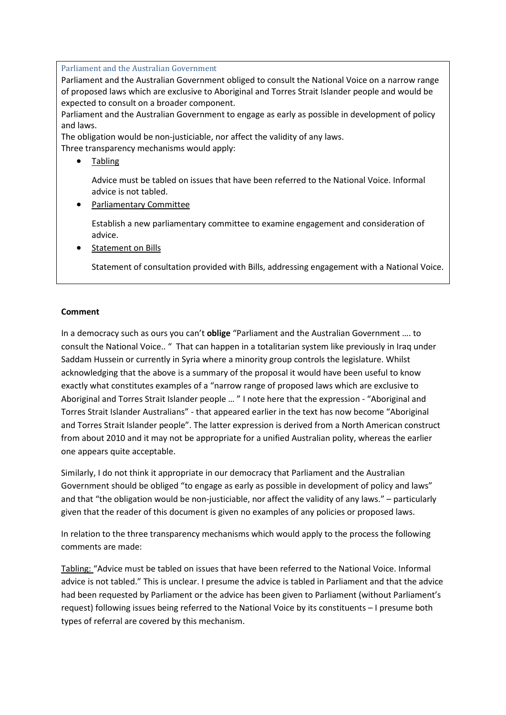#### Parliament and the Australian Government

Parliament and the Australian Government obliged to consult the National Voice on a narrow range of proposed laws which are exclusive to Aboriginal and Torres Strait Islander people and would be expected to consult on a broader component.

Parliament and the Australian Government to engage as early as possible in development of policy and laws.

The obligation would be non-justiciable, nor affect the validity of any laws.

Three transparency mechanisms would apply:

• Tabling

Advice must be tabled on issues that have been referred to the National Voice. Informal advice is not tabled.

• Parliamentary Committee

Establish a new parliamentary committee to examine engagement and consideration of advice.

• Statement on Bills

Statement of consultation provided with Bills, addressing engagement with a National Voice.

#### **Comment**

In a democracy such as ours you can't **oblige** "Parliament and the Australian Government …. to consult the National Voice.. " That can happen in a totalitarian system like previously in Iraq under Saddam Hussein or currently in Syria where a minority group controls the legislature. Whilst acknowledging that the above is a summary of the proposal it would have been useful to know exactly what constitutes examples of a "narrow range of proposed laws which are exclusive to Aboriginal and Torres Strait Islander people … " I note here that the expression - "Aboriginal and Torres Strait Islander Australians" - that appeared earlier in the text has now become "Aboriginal and Torres Strait Islander people". The latter expression is derived from a North American construct from about 2010 and it may not be appropriate for a unified Australian polity, whereas the earlier one appears quite acceptable.

Similarly, I do not think it appropriate in our democracy that Parliament and the Australian Government should be obliged "to engage as early as possible in development of policy and laws" and that "the obligation would be non-justiciable, nor affect the validity of any laws." – particularly given that the reader of this document is given no examples of any policies or proposed laws.

In relation to the three transparency mechanisms which would apply to the process the following comments are made:

Tabling: "Advice must be tabled on issues that have been referred to the National Voice. Informal advice is not tabled." This is unclear. I presume the advice is tabled in Parliament and that the advice had been requested by Parliament or the advice has been given to Parliament (without Parliament's request) following issues being referred to the National Voice by its constituents – I presume both types of referral are covered by this mechanism.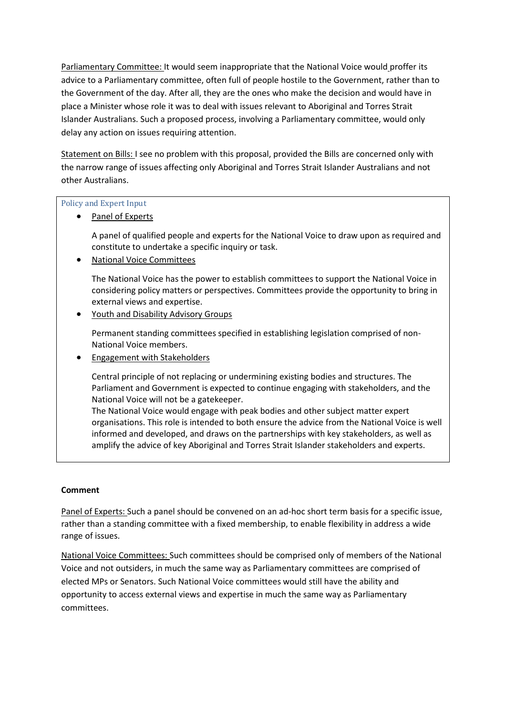Parliamentary Committee: It would seem inappropriate that the National Voice would proffer its advice to a Parliamentary committee, often full of people hostile to the Government, rather than to the Government of the day. After all, they are the ones who make the decision and would have in place a Minister whose role it was to deal with issues relevant to Aboriginal and Torres Strait Islander Australians. Such a proposed process, involving a Parliamentary committee, would only delay any action on issues requiring attention.

Statement on Bills: I see no problem with this proposal, provided the Bills are concerned only with the narrow range of issues affecting only Aboriginal and Torres Strait Islander Australians and not other Australians.

## Policy and Expert Input

Panel of Experts

A panel of qualified people and experts for the National Voice to draw upon as required and constitute to undertake a specific inquiry or task.

• National Voice Committees

The National Voice has the power to establish committees to support the National Voice in considering policy matters or perspectives. Committees provide the opportunity to bring in external views and expertise.

• Youth and Disability Advisory Groups

Permanent standing committees specified in establishing legislation comprised of non-National Voice members.

• Engagement with Stakeholders

Central principle of not replacing or undermining existing bodies and structures. The Parliament and Government is expected to continue engaging with stakeholders, and the National Voice will not be a gatekeeper.

The National Voice would engage with peak bodies and other subject matter expert organisations. This role is intended to both ensure the advice from the National Voice is well informed and developed, and draws on the partnerships with key stakeholders, as well as amplify the advice of key Aboriginal and Torres Strait Islander stakeholders and experts.

## **Comment**

Panel of Experts: Such a panel should be convened on an ad-hoc short term basis for a specific issue, rather than a standing committee with a fixed membership, to enable flexibility in address a wide range of issues.

National Voice Committees: Such committees should be comprised only of members of the National Voice and not outsiders, in much the same way as Parliamentary committees are comprised of elected MPs or Senators. Such National Voice committees would still have the ability and opportunity to access external views and expertise in much the same way as Parliamentary committees.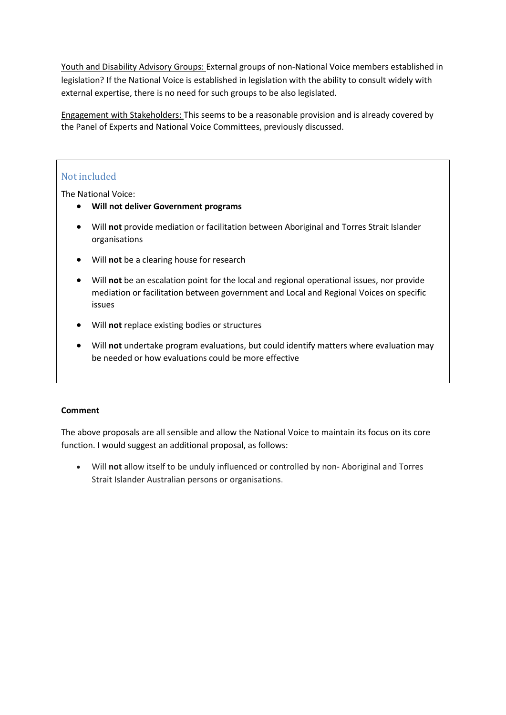Youth and Disability Advisory Groups: External groups of non-National Voice members established in legislation? If the National Voice is established in legislation with the ability to consult widely with external expertise, there is no need for such groups to be also legislated.

Engagement with Stakeholders: This seems to be a reasonable provision and is already covered by the Panel of Experts and National Voice Committees, previously discussed.

## Not included

The National Voice:

- **Will not deliver Government programs**
- Will **not** provide mediation or facilitation between Aboriginal and Torres Strait Islander organisations
- Will **not** be a clearing house for research
- Will **not** be an escalation point for the local and regional operational issues, nor provide mediation or facilitation between government and Local and Regional Voices on specific issues
- Will **not** replace existing bodies or structures
- Will **not** undertake program evaluations, but could identify matters where evaluation may be needed or how evaluations could be more effective

## **Comment**

The above proposals are all sensible and allow the National Voice to maintain its focus on its core function. I would suggest an additional proposal, as follows:

• Will **not** allow itself to be unduly influenced or controlled by non- Aboriginal and Torres Strait Islander Australian persons or organisations.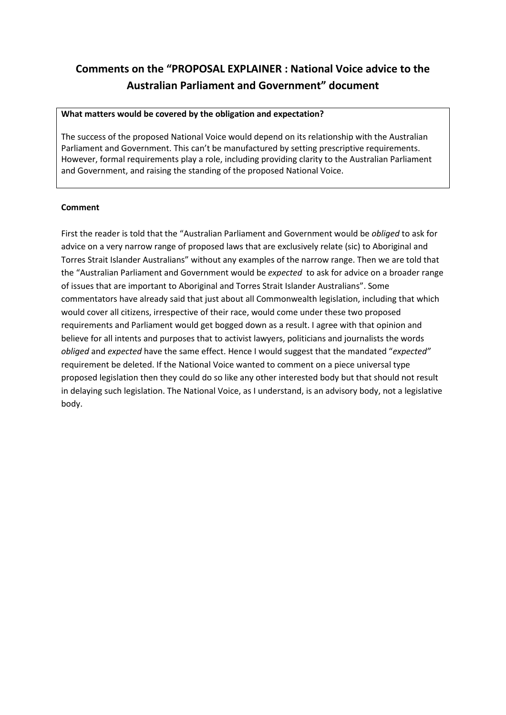## **Comments on the "PROPOSAL EXPLAINER : National Voice advice to the Australian Parliament and Government" document**

#### **What matters would be covered by the obligation and expectation?**

The success of the proposed National Voice would depend on its relationship with the Australian Parliament and Government. This can't be manufactured by setting prescriptive requirements. However, formal requirements play a role, including providing clarity to the Australian Parliament and Government, and raising the standing of the proposed National Voice.

#### **Comment**

First the reader is told that the "Australian Parliament and Government would be *obliged* to ask for advice on a very narrow range of proposed laws that are exclusively relate (sic) to Aboriginal and Torres Strait Islander Australians" without any examples of the narrow range. Then we are told that the "Australian Parliament and Government would be *expected* to ask for advice on a broader range of issues that are important to Aboriginal and Torres Strait Islander Australians". Some commentators have already said that just about all Commonwealth legislation, including that which would cover all citizens, irrespective of their race, would come under these two proposed requirements and Parliament would get bogged down as a result. I agree with that opinion and believe for all intents and purposes that to activist lawyers, politicians and journalists the words *obliged* and *expected* have the same effect. Hence I would suggest that the mandated "*expected"*  requirement be deleted. If the National Voice wanted to comment on a piece universal type proposed legislation then they could do so like any other interested body but that should not result in delaying such legislation. The National Voice, as I understand, is an advisory body, not a legislative body.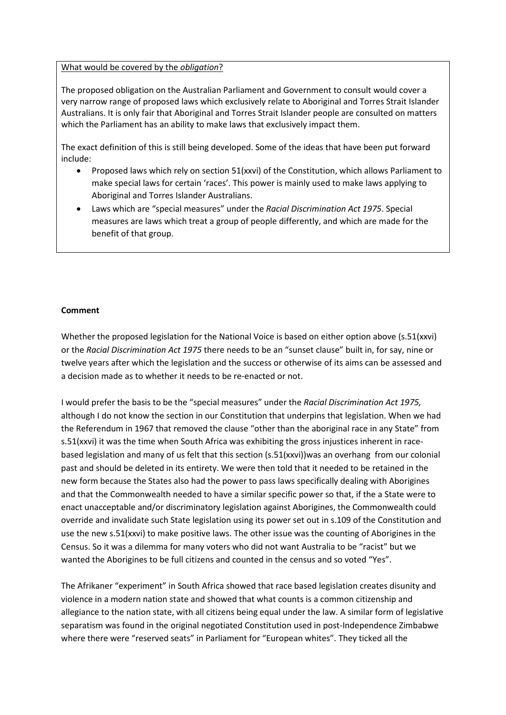What would be covered by the *obligation*?

The proposed obligation on the Australian Parliament and Government to consult would cover a very narrow range of proposed laws which exclusively relate to Aboriginal and Torres Strait Islander Australians. It is only fair that Aboriginal and Torres Strait Islander people are consulted on matters which the Parliament has an ability to make laws that exclusively impact them.

The exact definition of this is still being developed. Some of the ideas that have been put forward include:

- Proposed laws which rely on section 51(xxvi) of the Constitution, which allows Parliament to make special laws for certain 'races'. This power is mainly used to make laws applying to Aboriginal and Torres Islander Australians.
- Laws which are "special measures" under the *Racial Discrimination Act 1975*. Special measures are laws which treat a group of people differently, and which are made for the benefit of that group.

#### **Comment**

Whether the proposed legislation for the National Voice is based on either option above (s.51(xxvi) or the *Racial Discrimination Act 1975* there needs to be an "sunset clause" built in, for say, nine or twelve years after which the legislation and the success or otherwise of its aims can be assessed and a decision made as to whether it needs to be re-enacted or not.

I would prefer the basis to be the "special measures" under the *Racial Discrimination Act 1975,* although I do not know the section in our Constitution that underpins that legislation. When we had the Referendum in 1967 that removed the clause "other than the aboriginal race in any State" from s.51(xxvi) it was the time when South Africa was exhibiting the gross injustices inherent in racebased legislation and many of us felt that this section (s.51(xxvi))was an overhang from our colonial past and should be deleted in its entirety. We were then told that it needed to be retained in the new form because the States also had the power to pass laws specifically dealing with Aborigines and that the Commonwealth needed to have a similar specific power so that, if the a State were to enact unacceptable and/or discriminatory legislation against Aborigines, the Commonwealth could override and invalidate such State legislation using its power set out in s.109 of the Constitution and use the new s.51(xxvi) to make positive laws. The other issue was the counting of Aborigines in the Census. So it was a dilemma for many voters who did not want Australia to be "racist" but we wanted the Aborigines to be full citizens and counted in the census and so voted "Yes".

The Afrikaner "experiment" in South Africa showed that race based legislation creates disunity and violence in a modern nation state and showed that what counts is a common citizenship and allegiance to the nation state, with all citizens being equal under the law. A similar form of legislative separatism was found in the original negotiated Constitution used in post-Independence Zimbabwe where there were "reserved seats" in Parliament for "European whites". They ticked all the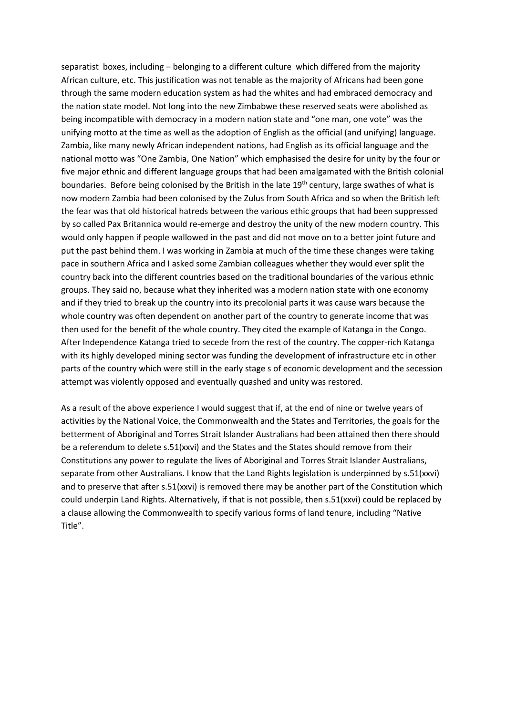separatist boxes, including – belonging to a different culture which differed from the majority African culture, etc. This justification was not tenable as the majority of Africans had been gone through the same modern education system as had the whites and had embraced democracy and the nation state model. Not long into the new Zimbabwe these reserved seats were abolished as being incompatible with democracy in a modern nation state and "one man, one vote" was the unifying motto at the time as well as the adoption of English as the official (and unifying) language. Zambia, like many newly African independent nations, had English as its official language and the national motto was "One Zambia, One Nation" which emphasised the desire for unity by the four or five major ethnic and different language groups that had been amalgamated with the British colonial boundaries. Before being colonised by the British in the late 19<sup>th</sup> century, large swathes of what is now modern Zambia had been colonised by the Zulus from South Africa and so when the British left the fear was that old historical hatreds between the various ethic groups that had been suppressed by so called Pax Britannica would re-emerge and destroy the unity of the new modern country. This would only happen if people wallowed in the past and did not move on to a better joint future and put the past behind them. I was working in Zambia at much of the time these changes were taking pace in southern Africa and I asked some Zambian colleagues whether they would ever split the country back into the different countries based on the traditional boundaries of the various ethnic groups. They said no, because what they inherited was a modern nation state with one economy and if they tried to break up the country into its precolonial parts it was cause wars because the whole country was often dependent on another part of the country to generate income that was then used for the benefit of the whole country. They cited the example of Katanga in the Congo. After Independence Katanga tried to secede from the rest of the country. The copper-rich Katanga with its highly developed mining sector was funding the development of infrastructure etc in other parts of the country which were still in the early stage s of economic development and the secession attempt was violently opposed and eventually quashed and unity was restored.

As a result of the above experience I would suggest that if, at the end of nine or twelve years of activities by the National Voice, the Commonwealth and the States and Territories, the goals for the betterment of Aboriginal and Torres Strait Islander Australians had been attained then there should be a referendum to delete s.51(xxvi) and the States and the States should remove from their Constitutions any power to regulate the lives of Aboriginal and Torres Strait Islander Australians, separate from other Australians. I know that the Land Rights legislation is underpinned by s.51(xxvi) and to preserve that after s.51(xxvi) is removed there may be another part of the Constitution which could underpin Land Rights. Alternatively, if that is not possible, then s.51(xxvi) could be replaced by a clause allowing the Commonwealth to specify various forms of land tenure, including "Native Title".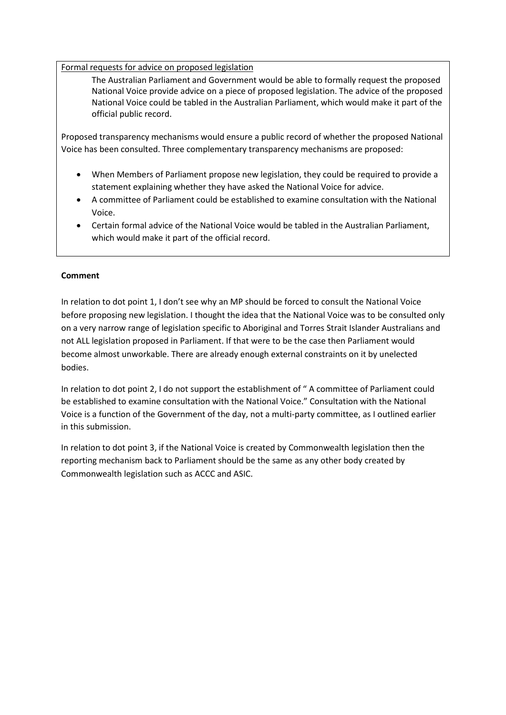Formal requests for advice on proposed legislation

The Australian Parliament and Government would be able to formally request the proposed National Voice provide advice on a piece of proposed legislation. The advice of the proposed National Voice could be tabled in the Australian Parliament, which would make it part of the official public record.

Proposed transparency mechanisms would ensure a public record of whether the proposed National Voice has been consulted. Three complementary transparency mechanisms are proposed:

- When Members of Parliament propose new legislation, they could be required to provide a statement explaining whether they have asked the National Voice for advice.
- A committee of Parliament could be established to examine consultation with the National Voice.
- Certain formal advice of the National Voice would be tabled in the Australian Parliament, which would make it part of the official record.

## **Comment**

In relation to dot point 1, I don't see why an MP should be forced to consult the National Voice before proposing new legislation. I thought the idea that the National Voice was to be consulted only on a very narrow range of legislation specific to Aboriginal and Torres Strait Islander Australians and not ALL legislation proposed in Parliament. If that were to be the case then Parliament would become almost unworkable. There are already enough external constraints on it by unelected bodies.

In relation to dot point 2, I do not support the establishment of " A committee of Parliament could be established to examine consultation with the National Voice." Consultation with the National Voice is a function of the Government of the day, not a multi-party committee, as I outlined earlier in this submission.

In relation to dot point 3, if the National Voice is created by Commonwealth legislation then the reporting mechanism back to Parliament should be the same as any other body created by Commonwealth legislation such as ACCC and ASIC.